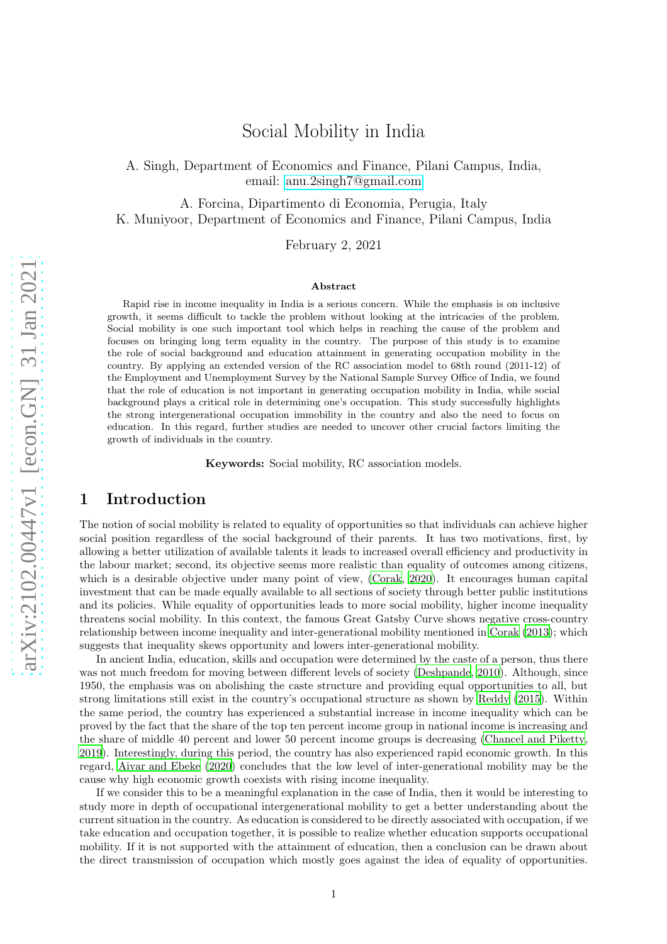A. Singh, Department of Economics and Finance, Pilani Campus, India, email: [anu.2singh7@gmail.com](maito: anu.2singh7@gmail.com)

A. Forcina, Dipartimento di Economia, Perugia, Italy K. Muniyoor, Department of Economics and Finance, Pilani Campus, India

February 2, 2021

#### Abstract

Rapid rise in income inequality in India is a serious concern. While the emphasis is on inclusive growth, it seems difficult to tackle the problem without looking at the intricacies of the problem. Social mobility is one such important tool which helps in reaching the cause of the problem and focuses on bringing long term equality in the country. The purpose of this study is to examine the role of social background and education attainment in generating occupation mobility in the country. By applying an extended version of the RC association model to 68th round (2011-12) of the Employment and Unemployment Survey by the National Sample Survey Office of India, we found that the role of education is not important in generating occupation mobility in India, while social background plays a critical role in determining one's occupation. This study successfully highlights the strong intergenerational occupation immobility in the country and also the need to focus on education. In this regard, further studies are needed to uncover other crucial factors limiting the growth of individuals in the country.

Keywords: Social mobility, RC association models.

## 1 Introduction

The notion of social mobility is related to equality of opportunities so that individuals can achieve higher social position regardless of the social background of their parents. It has two motivations, first, by allowing a better utilization of available talents it leads to increased overall efficiency and productivity in the labour market; second, its objective seems more realistic than equality of outcomes among citizens, which is a desirable objective under many point of view, [\(Corak](#page-9-0), [2020](#page-9-0)). It encourages human capital investment that can be made equally available to all sections of society through better public institutions and its policies. While equality of opportunities leads to more social mobility, higher income inequality threatens social mobility. In this context, the famous Great Gatsby Curve shows negative cross-country relationship between income inequality and inter-generational mobility mentioned in [Corak \(2013\)](#page-9-1); which suggests that inequality skews opportunity and lowers inter-generational mobility.

In ancient India, education, skills and occupation were determined by the caste of a person, thus there was not much freedom for moving between different levels of society [\(Deshpande, 2010\)](#page-9-2). Although, since 1950, the emphasis was on abolishing the caste structure and providing equal opportunities to all, but strong limitations still exist in the country's occupational structure as shown by [Reddy \(2015\)](#page-10-0). Within the same period, the country has experienced a substantial increase in income inequality which can be proved by the fact that the share of the top ten percent income group in national income is increasing and the share of middle 40 percent and lower 50 percent income groups is decreasing [\(Chancel and Piketty,](#page-9-3) [2019\)](#page-9-3). Interestingly, during this period, the country has also experienced rapid economic growth. In this regard, [Aiyar and Ebeke \(2020\)](#page-9-4) concludes that the low level of inter-generational mobility may be the cause why high economic growth coexists with rising income inequality.

If we consider this to be a meaningful explanation in the case of India, then it would be interesting to study more in depth of occupational intergenerational mobility to get a better understanding about the current situation in the country. As education is considered to be directly associated with occupation, if we take education and occupation together, it is possible to realize whether education supports occupational mobility. If it is not supported with the attainment of education, then a conclusion can be drawn about the direct transmission of occupation which mostly goes against the idea of equality of opportunities.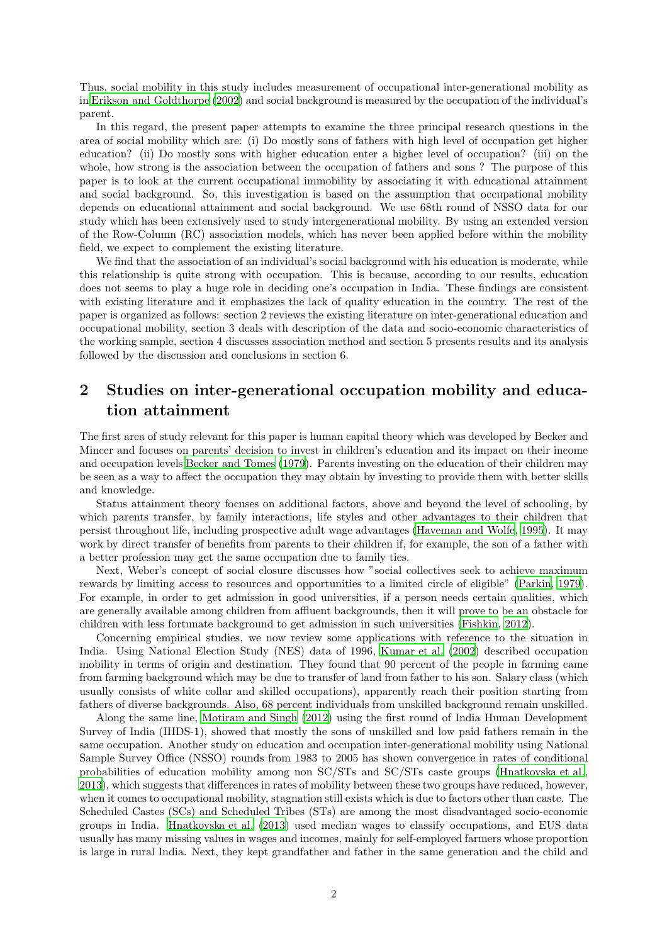Thus, social mobility in this study includes measurement of occupational inter-generational mobility as in [Erikson and Goldthorpe \(2002](#page-9-5)) and social background is measured by the occupation of the individual's parent.

In this regard, the present paper attempts to examine the three principal research questions in the area of social mobility which are: (i) Do mostly sons of fathers with high level of occupation get higher education? (ii) Do mostly sons with higher education enter a higher level of occupation? (iii) on the whole, how strong is the association between the occupation of fathers and sons ? The purpose of this paper is to look at the current occupational immobility by associating it with educational attainment and social background. So, this investigation is based on the assumption that occupational mobility depends on educational attainment and social background. We use 68th round of NSSO data for our study which has been extensively used to study intergenerational mobility. By using an extended version of the Row-Column (RC) association models, which has never been applied before within the mobility field, we expect to complement the existing literature.

We find that the association of an individual's social background with his education is moderate, while this relationship is quite strong with occupation. This is because, according to our results, education does not seems to play a huge role in deciding one's occupation in India. These findings are consistent with existing literature and it emphasizes the lack of quality education in the country. The rest of the paper is organized as follows: section 2 reviews the existing literature on inter-generational education and occupational mobility, section 3 deals with description of the data and socio-economic characteristics of the working sample, section 4 discusses association method and section 5 presents results and its analysis followed by the discussion and conclusions in section 6.

# 2 Studies on inter-generational occupation mobility and education attainment

The first area of study relevant for this paper is human capital theory which was developed by Becker and Mincer and focuses on parents' decision to invest in children's education and its impact on their income and occupation levels [Becker and Tomes \(1979](#page-9-6)). Parents investing on the education of their children may be seen as a way to affect the occupation they may obtain by investing to provide them with better skills and knowledge.

Status attainment theory focuses on additional factors, above and beyond the level of schooling, by which parents transfer, by family interactions, life styles and other advantages to their children that persist throughout life, including prospective adult wage advantages [\(Haveman and Wolfe](#page-10-1), [1995\)](#page-10-1). It may work by direct transfer of benefits from parents to their children if, for example, the son of a father with a better profession may get the same occupation due to family ties.

Next, Weber's concept of social closure discusses how "social collectives seek to achieve maximum rewards by limiting access to resources and opportunities to a limited circle of eligible" [\(Parkin, 1979\)](#page-10-2). For example, in order to get admission in good universities, if a person needs certain qualities, which are generally available among children from affluent backgrounds, then it will prove to be an obstacle for children with less fortunate background to get admission in such universities [\(Fishkin](#page-9-7), [2012\)](#page-9-7).

Concerning empirical studies, we now review some applications with reference to the situation in India. Using National Election Study (NES) data of 1996, [Kumar et al. \(2002\)](#page-10-3) described occupation mobility in terms of origin and destination. They found that 90 percent of the people in farming came from farming background which may be due to transfer of land from father to his son. Salary class (which usually consists of white collar and skilled occupations), apparently reach their position starting from fathers of diverse backgrounds. Also, 68 percent individuals from unskilled background remain unskilled.

Along the same line, [Motiram and Singh \(2012\)](#page-10-4) using the first round of India Human Development Survey of India (IHDS-1), showed that mostly the sons of unskilled and low paid fathers remain in the same occupation. Another study on education and occupation inter-generational mobility using National Sample Survey Office (NSSO) rounds from 1983 to 2005 has shown convergence in rates of conditional probabilities of education mobility among non SC/STs and SC/STs caste groups [\(Hnatkovska et al.,](#page-10-5) [2013\)](#page-10-5), which suggests that differences in rates of mobility between these two groups have reduced, however, when it comes to occupational mobility, stagnation still exists which is due to factors other than caste. The Scheduled Castes (SCs) and Scheduled Tribes (STs) are among the most disadvantaged socio-economic groups in India. [Hnatkovska et al. \(2013\)](#page-10-5) used median wages to classify occupations, and EUS data usually has many missing values in wages and incomes, mainly for self-employed farmers whose proportion is large in rural India. Next, they kept grandfather and father in the same generation and the child and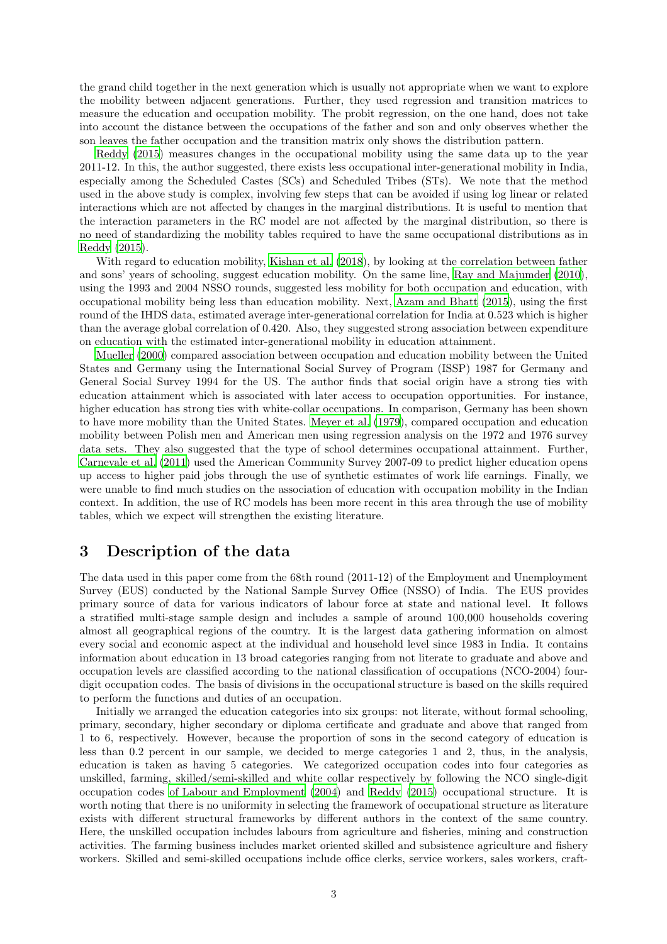the grand child together in the next generation which is usually not appropriate when we want to explore the mobility between adjacent generations. Further, they used regression and transition matrices to measure the education and occupation mobility. The probit regression, on the one hand, does not take into account the distance between the occupations of the father and son and only observes whether the son leaves the father occupation and the transition matrix only shows the distribution pattern.

[Reddy \(2015](#page-10-0)) measures changes in the occupational mobility using the same data up to the year 2011-12. In this, the author suggested, there exists less occupational inter-generational mobility in India, especially among the Scheduled Castes (SCs) and Scheduled Tribes (STs). We note that the method used in the above study is complex, involving few steps that can be avoided if using log linear or related interactions which are not affected by changes in the marginal distributions. It is useful to mention that the interaction parameters in the RC model are not affected by the marginal distribution, so there is no need of standardizing the mobility tables required to have the same occupational distributions as in [Reddy \(2015](#page-10-0)).

With regard to education mobility, [Kishan et al. \(2018\)](#page-10-6), by looking at the correlation between father and sons' years of schooling, suggest education mobility. On the same line, [Ray and Majumder \(2010\)](#page-10-7), using the 1993 and 2004 NSSO rounds, suggested less mobility for both occupation and education, with occupational mobility being less than education mobility. Next, [Azam and Bhatt \(2015\)](#page-9-8), using the first round of the IHDS data, estimated average inter-generational correlation for India at 0.523 which is higher than the average global correlation of 0.420. Also, they suggested strong association between expenditure on education with the estimated inter-generational mobility in education attainment.

[Mueller \(2000\)](#page-10-8) compared association between occupation and education mobility between the United States and Germany using the International Social Survey of Program (ISSP) 1987 for Germany and General Social Survey 1994 for the US. The author finds that social origin have a strong ties with education attainment which is associated with later access to occupation opportunities. For instance, higher education has strong ties with white-collar occupations. In comparison, Germany has been shown to have more mobility than the United States. [Meyer et al. \(1979\)](#page-10-9), compared occupation and education mobility between Polish men and American men using regression analysis on the 1972 and 1976 survey data sets. They also suggested that the type of school determines occupational attainment. Further, [Carnevale et al. \(2011\)](#page-9-9) used the American Community Survey 2007-09 to predict higher education opens up access to higher paid jobs through the use of synthetic estimates of work life earnings. Finally, we were unable to find much studies on the association of education with occupation mobility in the Indian context. In addition, the use of RC models has been more recent in this area through the use of mobility tables, which we expect will strengthen the existing literature.

## 3 Description of the data

The data used in this paper come from the 68th round (2011-12) of the Employment and Unemployment Survey (EUS) conducted by the National Sample Survey Office (NSSO) of India. The EUS provides primary source of data for various indicators of labour force at state and national level. It follows a stratified multi-stage sample design and includes a sample of around 100,000 households covering almost all geographical regions of the country. It is the largest data gathering information on almost every social and economic aspect at the individual and household level since 1983 in India. It contains information about education in 13 broad categories ranging from not literate to graduate and above and occupation levels are classified according to the national classification of occupations (NCO-2004) fourdigit occupation codes. The basis of divisions in the occupational structure is based on the skills required to perform the functions and duties of an occupation.

Initially we arranged the education categories into six groups: not literate, without formal schooling, primary, secondary, higher secondary or diploma certificate and graduate and above that ranged from 1 to 6, respectively. However, because the proportion of sons in the second category of education is less than 0.2 percent in our sample, we decided to merge categories 1 and 2, thus, in the analysis, education is taken as having 5 categories. We categorized occupation codes into four categories as unskilled, farming, skilled/semi-skilled and white collar respectively by following the NCO single-digit occupation codes [of Labour and Employment \(2004\)](#page-10-10) and [Reddy \(2015\)](#page-10-0) occupational structure. It is worth noting that there is no uniformity in selecting the framework of occupational structure as literature exists with different structural frameworks by different authors in the context of the same country. Here, the unskilled occupation includes labours from agriculture and fisheries, mining and construction activities. The farming business includes market oriented skilled and subsistence agriculture and fishery workers. Skilled and semi-skilled occupations include office clerks, service workers, sales workers, craft-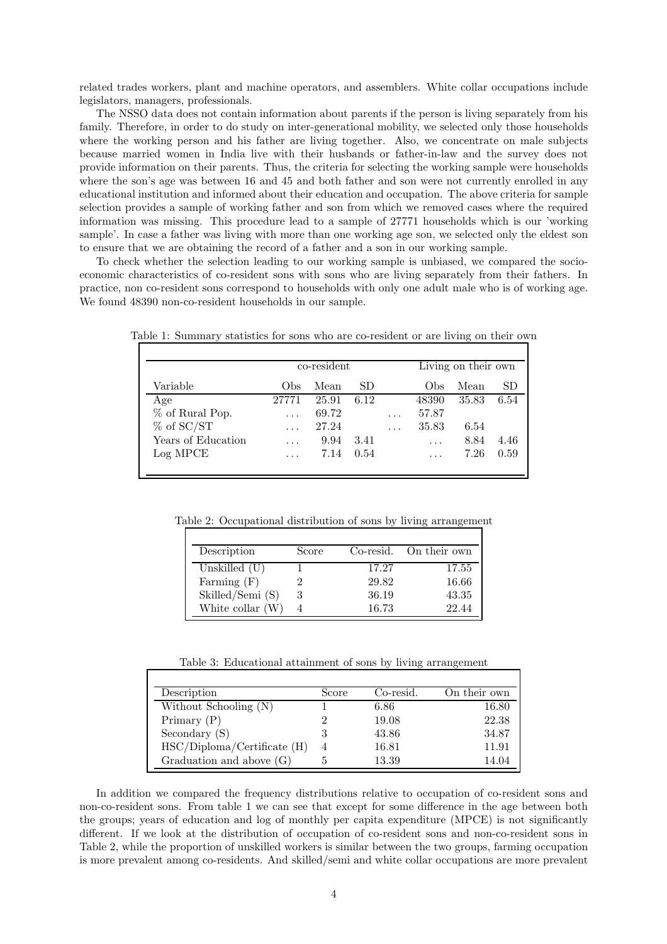related trades workers, plant and machine operators, and assemblers. White collar occupations include legislators, managers, professionals.

The NSSO data does not contain information about parents if the person is living separately from his family. Therefore, in order to do study on inter-generational mobility, we selected only those households where the working person and his father are living together. Also, we concentrate on male subjects because married women in India live with their husbands or father-in-law and the survey does not provide information on their parents. Thus, the criteria for selecting the working sample were households where the son's age was between 16 and 45 and both father and son were not currently enrolled in any educational institution and informed about their education and occupation. The above criteria for sample selection provides a sample of working father and son from which we removed cases where the required information was missing. This procedure lead to a sample of 27771 households which is our 'working sample'. In case a father was living with more than one working age son, we selected only the eldest son to ensure that we are obtaining the record of a father and a son in our working sample.

To check whether the selection leading to our working sample is unbiased, we compared the socioeconomic characteristics of co-resident sons with sons who are living separately from their fathers. In practice, non co-resident sons correspond to households with only one adult male who is of working age. We found 48390 non-co-resident households in our sample.

|                    | co-resident |       |      | Living on their own |          |       |      |
|--------------------|-------------|-------|------|---------------------|----------|-------|------|
| Variable           | Obs         | Mean  | SD.  |                     | Obs      | Mean  | SD   |
| Age                | 27771       | 25.91 | 6.12 |                     | 48390    | 35.83 | 6.54 |
| % of Rural Pop.    | $\cdots$    | 69.72 |      | $\cdots$            | 57.87    |       |      |
| $%$ of SC/ST       |             | 27.24 |      | $\cdots$            | 35.83    | 6.54  |      |
| Years of Education | $\cdots$    | 9.94  | 3.41 |                     | $\cdots$ | 8.84  | 4.46 |
| Log MPCE           | $\cdots$    | 7.14  | 0.54 |                     | .        | 7.26  | 0.59 |

Table 1: Summary statistics for sons who are co-resident or are living on their own

Table 2: Occupational distribution of sons by living arrangement

| Description      | Score |       | Co-resid. On their own |
|------------------|-------|-------|------------------------|
| Unskilled $(U)$  |       | 17.27 | 17.55                  |
| Farming $(F)$    |       | 29.82 | 16.66                  |
| Skilled/Semi (S) | 3     | 36.19 | 43.35                  |
| White collar (W) |       | 16.73 | 22.44                  |

Table 3: Educational attainment of sons by living arrangement

| Description                   | Score          | Co-resid. | On their own |
|-------------------------------|----------------|-----------|--------------|
| Without Schooling (N)         |                | 6.86      | 16.80        |
| Primary $(P)$                 |                | 19.08     | 22.38        |
| Secondary $(S)$               | 3              | 43.86     | 34.87        |
| $HSC/Diploma/Certificate$ (H) | $\overline{4}$ | 16.81     | 11.91        |
| Graduation and above $(G)$    |                | 13.39     | 14.04        |

In addition we compared the frequency distributions relative to occupation of co-resident sons and non-co-resident sons. From table 1 we can see that except for some difference in the age between both the groups; years of education and log of monthly per capita expenditure (MPCE) is not significantly different. If we look at the distribution of occupation of co-resident sons and non-co-resident sons in Table 2, while the proportion of unskilled workers is similar between the two groups, farming occupation is more prevalent among co-residents. And skilled/semi and white collar occupations are more prevalent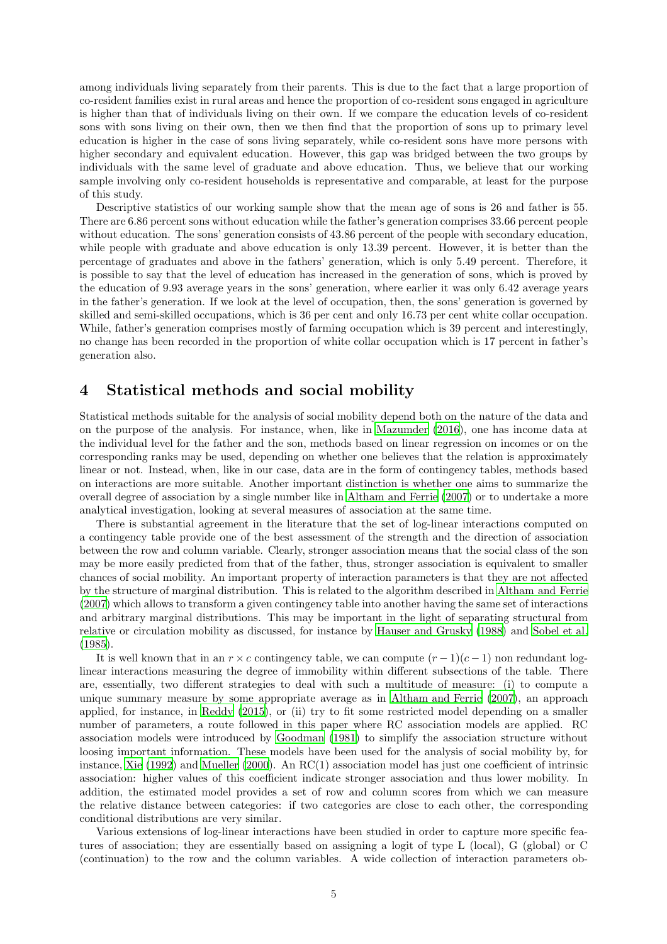among individuals living separately from their parents. This is due to the fact that a large proportion of co-resident families exist in rural areas and hence the proportion of co-resident sons engaged in agriculture is higher than that of individuals living on their own. If we compare the education levels of co-resident sons with sons living on their own, then we then find that the proportion of sons up to primary level education is higher in the case of sons living separately, while co-resident sons have more persons with higher secondary and equivalent education. However, this gap was bridged between the two groups by individuals with the same level of graduate and above education. Thus, we believe that our working sample involving only co-resident households is representative and comparable, at least for the purpose of this study.

Descriptive statistics of our working sample show that the mean age of sons is 26 and father is 55. There are 6.86 percent sons without education while the father's generation comprises 33.66 percent people without education. The sons' generation consists of 43.86 percent of the people with secondary education, while people with graduate and above education is only 13.39 percent. However, it is better than the percentage of graduates and above in the fathers' generation, which is only 5.49 percent. Therefore, it is possible to say that the level of education has increased in the generation of sons, which is proved by the education of 9.93 average years in the sons' generation, where earlier it was only 6.42 average years in the father's generation. If we look at the level of occupation, then, the sons' generation is governed by skilled and semi-skilled occupations, which is 36 per cent and only 16.73 per cent white collar occupation. While, father's generation comprises mostly of farming occupation which is 39 percent and interestingly, no change has been recorded in the proportion of white collar occupation which is 17 percent in father's generation also.

## 4 Statistical methods and social mobility

Statistical methods suitable for the analysis of social mobility depend both on the nature of the data and on the purpose of the analysis. For instance, when, like in [Mazumder](#page-10-11) [\(2016\)](#page-10-11), one has income data at the individual level for the father and the son, methods based on linear regression on incomes or on the corresponding ranks may be used, depending on whether one believes that the relation is approximately linear or not. Instead, when, like in our case, data are in the form of contingency tables, methods based on interactions are more suitable. Another important distinction is whether one aims to summarize the overall degree of association by a single number like in [Altham and Ferrie \(2007\)](#page-9-10) or to undertake a more analytical investigation, looking at several measures of association at the same time.

There is substantial agreement in the literature that the set of log-linear interactions computed on a contingency table provide one of the best assessment of the strength and the direction of association between the row and column variable. Clearly, stronger association means that the social class of the son may be more easily predicted from that of the father, thus, stronger association is equivalent to smaller chances of social mobility. An important property of interaction parameters is that they are not affected by the structure of marginal distribution. This is related to the algorithm described in [Altham and Ferrie](#page-9-10) [\(2007\)](#page-9-10) which allows to transform a given contingency table into another having the same set of interactions and arbitrary marginal distributions. This may be important in the light of separating structural from relative or circulation mobility as discussed, for instance by [Hauser and Grusky \(1988](#page-10-12)) and [Sobel et al.](#page-10-13) [\(1985\)](#page-10-13).

It is well known that in an  $r \times c$  contingency table, we can compute  $(r-1)(c-1)$  non redundant loglinear interactions measuring the degree of immobility within different subsections of the table. There are, essentially, two different strategies to deal with such a multitude of measure: (i) to compute a unique summary measure by some appropriate average as in [Altham and Ferrie \(2007](#page-9-10)), an approach applied, for instance, in [Reddy \(2015\)](#page-10-0), or (ii) try to fit some restricted model depending on a smaller number of parameters, a route followed in this paper where RC association models are applied. RC association models were introduced by [Goodman \(1981\)](#page-10-14) to simplify the association structure without loosing important information. These models have been used for the analysis of social mobility by, for instance, [Xie \(1992\)](#page-10-15) and [Mueller \(2000\)](#page-10-8). An RC(1) association model has just one coefficient of intrinsic association: higher values of this coefficient indicate stronger association and thus lower mobility. In addition, the estimated model provides a set of row and column scores from which we can measure the relative distance between categories: if two categories are close to each other, the corresponding conditional distributions are very similar.

Various extensions of log-linear interactions have been studied in order to capture more specific features of association; they are essentially based on assigning a logit of type L (local), G (global) or C (continuation) to the row and the column variables. A wide collection of interaction parameters ob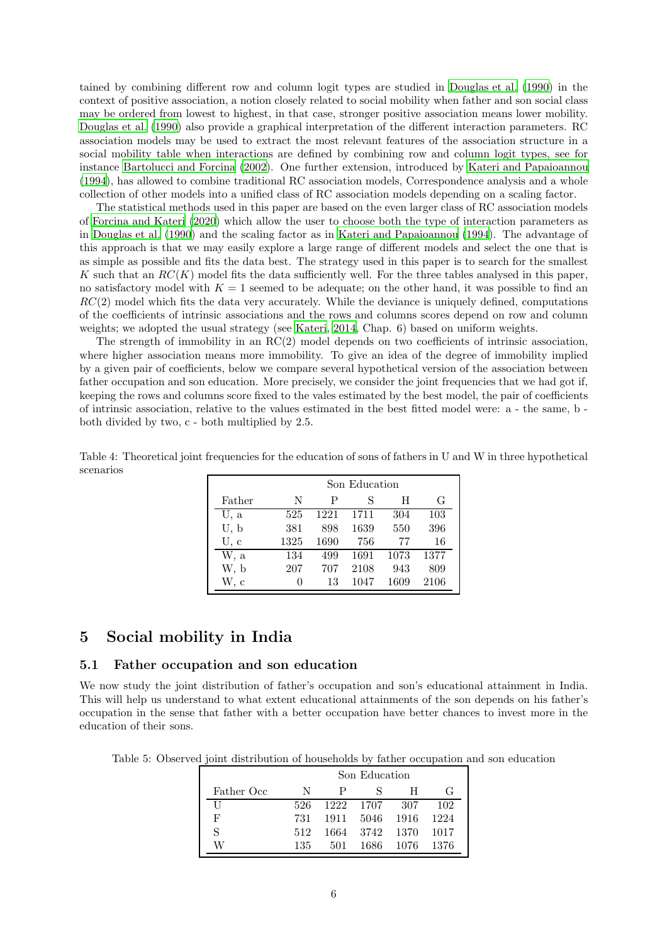tained by combining different row and column logit types are studied in [Douglas et al. \(1990\)](#page-9-11) in the context of positive association, a notion closely related to social mobility when father and son social class may be ordered from lowest to highest, in that case, stronger positive association means lower mobility. [Douglas et al. \(1990\)](#page-9-11) also provide a graphical interpretation of the different interaction parameters. RC association models may be used to extract the most relevant features of the association structure in a social mobility table when interactions are defined by combining row and column logit types, see for instance [Bartolucci and Forcina \(2002\)](#page-9-12). One further extension, introduced by [Kateri and Papaioannou](#page-10-16) [\(1994\)](#page-10-16), has allowed to combine traditional RC association models, Correspondence analysis and a whole collection of other models into a unified class of RC association models depending on a scaling factor.

The statistical methods used in this paper are based on the even larger class of RC association models of [Forcina and Kateri \(2020\)](#page-9-13) which allow the user to choose both the type of interaction parameters as in [Douglas et al. \(1990\)](#page-9-11) and the scaling factor as in [Kateri and Papaioannou \(1994](#page-10-16)). The advantage of this approach is that we may easily explore a large range of different models and select the one that is as simple as possible and fits the data best. The strategy used in this paper is to search for the smallest K such that an  $RC(K)$  model fits the data sufficiently well. For the three tables analysed in this paper, no satisfactory model with  $K = 1$  seemed to be adequate; on the other hand, it was possible to find an  $RC(2)$  model which fits the data very accurately. While the deviance is uniquely defined, computations of the coefficients of intrinsic associations and the rows and columns scores depend on row and column weights; we adopted the usual strategy (see [Kateri, 2014,](#page-10-17) Chap. 6) based on uniform weights.

The strength of immobility in an RC(2) model depends on two coefficients of intrinsic association, where higher association means more immobility. To give an idea of the degree of immobility implied by a given pair of coefficients, below we compare several hypothetical version of the association between father occupation and son education. More precisely, we consider the joint frequencies that we had got if, keeping the rows and columns score fixed to the vales estimated by the best model, the pair of coefficients of intrinsic association, relative to the values estimated in the best fitted model were: a - the same, b both divided by two, c - both multiplied by 2.5.

|              | Son Education |      |      |      |      |  |  |
|--------------|---------------|------|------|------|------|--|--|
| Father       | N             | Ρ    | S    | Ħ    | G    |  |  |
| U, a         | 525           | 1221 | 1711 | 304  | 103  |  |  |
| U, b         | 381           | 898  | 1639 | 550  | 396  |  |  |
| U, c         | 1325          | 1690 | 756  | 77   | 16   |  |  |
| W, a         | 134           | 499  | 1691 | 1073 | 1377 |  |  |
| W, b         | 207           | 707  | 2108 | 943  | 809  |  |  |
| $\mathbf{c}$ |               | 13   | 1047 | 1609 | 2106 |  |  |

Table 4: Theoretical joint frequencies for the education of sons of fathers in U and W in three hypothetical scenarios

## 5 Social mobility in India

#### 5.1 Father occupation and son education

We now study the joint distribution of father's occupation and son's educational attainment in India. This will help us understand to what extent educational attainments of the son depends on his father's occupation in the sense that father with a better occupation have better chances to invest more in the education of their sons.

Table 5: Observed joint distribution of households by father occupation and son education

<span id="page-5-0"></span>

|             | Son Education |     |                |           |                  |  |
|-------------|---------------|-----|----------------|-----------|------------------|--|
| Father Occ. | N             | P   | S.             | H         | $\mathfrak{c}$ : |  |
| H           | 526           |     | 1222 1707 307  |           | 102              |  |
| F           | 731           |     | 1911 5046 1916 |           | 1224             |  |
| S           | 512           |     | 1664 3742 1370 |           | - 1017           |  |
|             | 135           | 501 | 1686 -         | 1076 1376 |                  |  |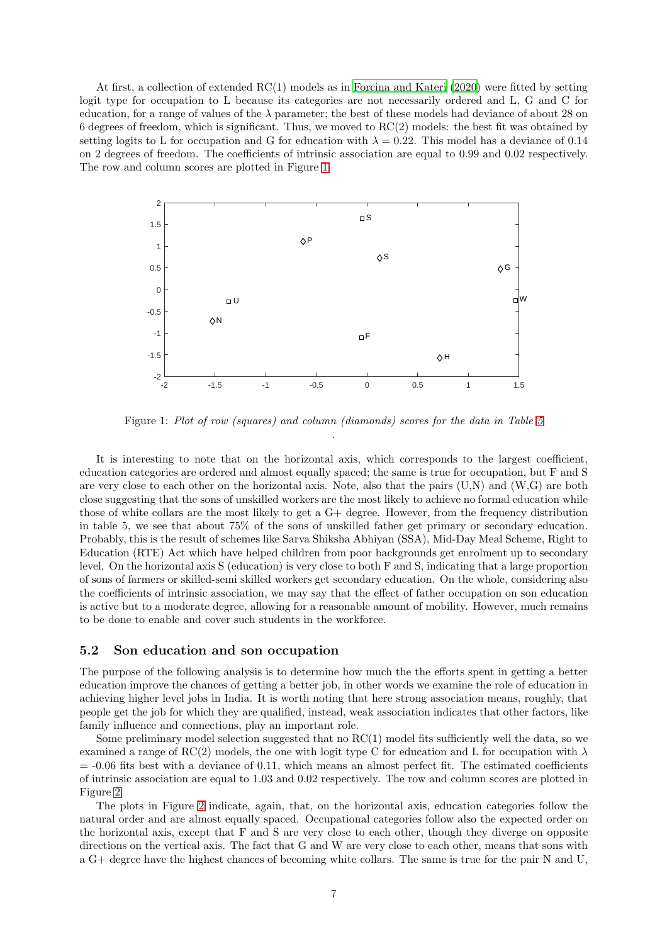At first, a collection of extended RC(1) models as in [Forcina and Kateri \(2020](#page-9-13)) were fitted by setting logit type for occupation to L because its categories are not necessarily ordered and L, G and C for education, for a range of values of the  $\lambda$  parameter; the best of these models had deviance of about 28 on 6 degrees of freedom, which is significant. Thus, we moved to RC(2) models: the best fit was obtained by setting logits to L for occupation and G for education with  $\lambda = 0.22$ . This model has a deviance of 0.14 on 2 degrees of freedom. The coefficients of intrinsic association are equal to 0.99 and 0.02 respectively. The row and column scores are plotted in Figure [1](#page-6-0)



<span id="page-6-0"></span>Figure 1: Plot of row (squares) and column (diamonds) scores for the data in Table [5](#page-5-0) .

It is interesting to note that on the horizontal axis, which corresponds to the largest coefficient, education categories are ordered and almost equally spaced; the same is true for occupation, but F and S are very close to each other on the horizontal axis. Note, also that the pairs (U,N) and (W,G) are both close suggesting that the sons of unskilled workers are the most likely to achieve no formal education while those of white collars are the most likely to get a G+ degree. However, from the frequency distribution in table 5, we see that about 75% of the sons of unskilled father get primary or secondary education. Probably, this is the result of schemes like Sarva Shiksha Abhiyan (SSA), Mid-Day Meal Scheme, Right to Education (RTE) Act which have helped children from poor backgrounds get enrolment up to secondary level. On the horizontal axis S (education) is very close to both F and S, indicating that a large proportion of sons of farmers or skilled-semi skilled workers get secondary education. On the whole, considering also the coefficients of intrinsic association, we may say that the effect of father occupation on son education is active but to a moderate degree, allowing for a reasonable amount of mobility. However, much remains to be done to enable and cover such students in the workforce.

#### 5.2 Son education and son occupation

The purpose of the following analysis is to determine how much the the efforts spent in getting a better education improve the chances of getting a better job, in other words we examine the role of education in achieving higher level jobs in India. It is worth noting that here strong association means, roughly, that people get the job for which they are qualified, instead, weak association indicates that other factors, like family influence and connections, play an important role.

Some preliminary model selection suggested that no  $RC(1)$  model fits sufficiently well the data, so we examined a range of RC(2) models, the one with logit type C for education and L for occupation with  $\lambda$  $=$  -0.06 fits best with a deviance of 0.11, which means an almost perfect fit. The estimated coefficients of intrinsic association are equal to 1.03 and 0.02 respectively. The row and column scores are plotted in Figure [2](#page-7-0)

The plots in Figure [2](#page-7-0) indicate, again, that, on the horizontal axis, education categories follow the natural order and are almost equally spaced. Occupational categories follow also the expected order on the horizontal axis, except that F and S are very close to each other, though they diverge on opposite directions on the vertical axis. The fact that G and W are very close to each other, means that sons with a G+ degree have the highest chances of becoming white collars. The same is true for the pair N and U,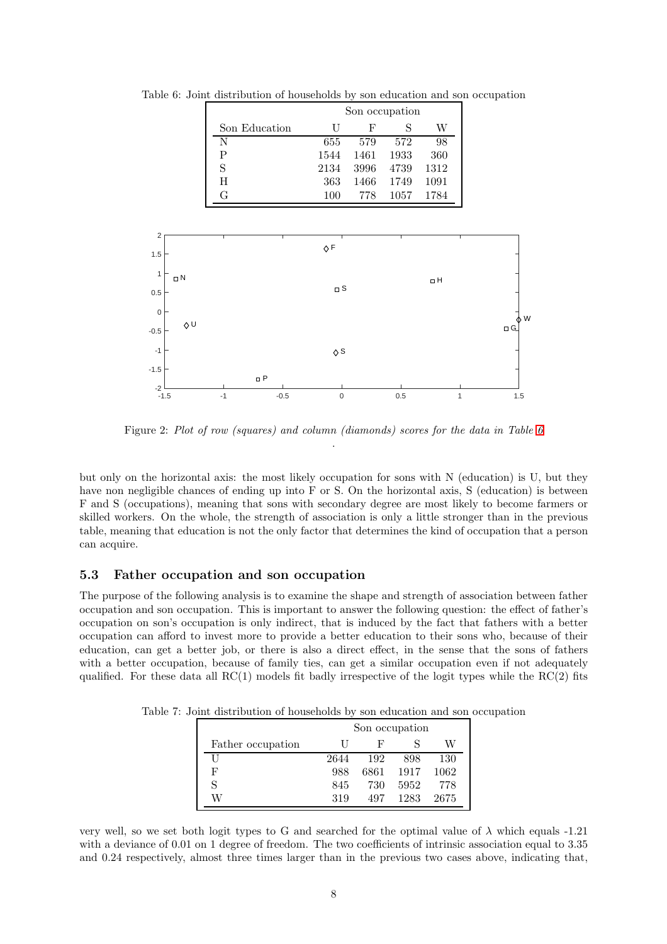<span id="page-7-1"></span>

|               | Son occupation |      |      |      |  |
|---------------|----------------|------|------|------|--|
| Son Education |                | F    | S    | W    |  |
| N             | 655            | 579  | 572  | 98   |  |
| Ρ             | 1544           | 1461 | 1933 | 360  |  |
| S             | 2134           | 3996 | 4739 | 1312 |  |
| H             | 363            | 1466 | 1749 | 1091 |  |
| G             | 100            | 778  | 1057 | 1784 |  |

Table 6: Joint distribution of households by son education and son occupation



<span id="page-7-0"></span>Figure 2: Plot of row (squares) and column (diamonds) scores for the data in Table [6](#page-7-1) .

but only on the horizontal axis: the most likely occupation for sons with N (education) is U, but they have non negligible chances of ending up into F or S. On the horizontal axis, S (education) is between F and S (occupations), meaning that sons with secondary degree are most likely to become farmers or skilled workers. On the whole, the strength of association is only a little stronger than in the previous table, meaning that education is not the only factor that determines the kind of occupation that a person can acquire.

#### 5.3 Father occupation and son occupation

The purpose of the following analysis is to examine the shape and strength of association between father occupation and son occupation. This is important to answer the following question: the effect of father's occupation on son's occupation is only indirect, that is induced by the fact that fathers with a better occupation can afford to invest more to provide a better education to their sons who, because of their education, can get a better job, or there is also a direct effect, in the sense that the sons of fathers with a better occupation, because of family ties, can get a similar occupation even if not adequately qualified. For these data all  $RC(1)$  models fit badly irrespective of the logit types while the  $RC(2)$  fits

Table 7: Joint distribution of households by son education and son occupation

<span id="page-7-2"></span>

|                   | Son occupation    |      |      |      |  |  |
|-------------------|-------------------|------|------|------|--|--|
| Father occupation | W<br>н,<br>$\Box$ |      |      |      |  |  |
| Ш                 | 2644              | 192  | 898  | 130  |  |  |
| F                 | 988               | 6861 | 1917 | 1062 |  |  |
| S                 | 845               | 730  | 5952 | 778  |  |  |
| W                 | 319               | 497  | 1283 | 2675 |  |  |

very well, so we set both logit types to G and searched for the optimal value of  $\lambda$  which equals -1.21 with a deviance of 0.01 on 1 degree of freedom. The two coefficients of intrinsic association equal to 3.35 and 0.24 respectively, almost three times larger than in the previous two cases above, indicating that,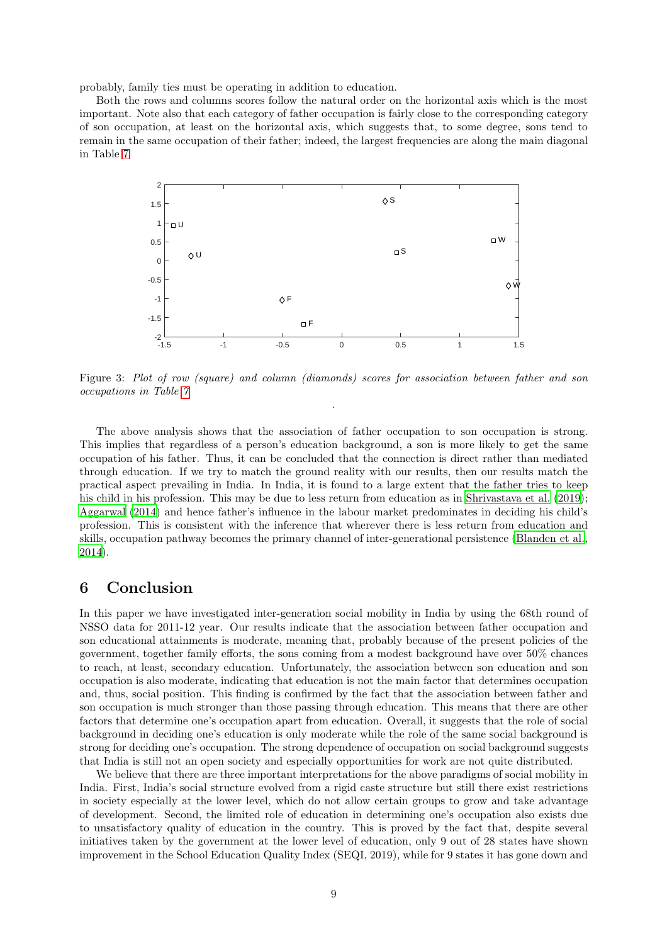probably, family ties must be operating in addition to education.

Both the rows and columns scores follow the natural order on the horizontal axis which is the most important. Note also that each category of father occupation is fairly close to the corresponding category of son occupation, at least on the horizontal axis, which suggests that, to some degree, sons tend to remain in the same occupation of their father; indeed, the largest frequencies are along the main diagonal in Table [7](#page-7-2)



Figure 3: Plot of row (square) and column (diamonds) scores for association between father and son occupations in Table [7](#page-7-2) .

The above analysis shows that the association of father occupation to son occupation is strong. This implies that regardless of a person's education background, a son is more likely to get the same occupation of his father. Thus, it can be concluded that the connection is direct rather than mediated through education. If we try to match the ground reality with our results, then our results match the practical aspect prevailing in India. In India, it is found to a large extent that the father tries to keep his child in his profession. This may be due to less return from education as in [Shrivastava et al. \(2019\)](#page-10-18); [Aggarwal \(2014](#page-9-14)) and hence father's influence in the labour market predominates in deciding his child's profession. This is consistent with the inference that wherever there is less return from education and skills, occupation pathway becomes the primary channel of inter-generational persistence [\(Blanden et al.,](#page-9-15) [2014\)](#page-9-15).

## 6 Conclusion

In this paper we have investigated inter-generation social mobility in India by using the 68th round of NSSO data for 2011-12 year. Our results indicate that the association between father occupation and son educational attainments is moderate, meaning that, probably because of the present policies of the government, together family efforts, the sons coming from a modest background have over 50% chances to reach, at least, secondary education. Unfortunately, the association between son education and son occupation is also moderate, indicating that education is not the main factor that determines occupation and, thus, social position. This finding is confirmed by the fact that the association between father and son occupation is much stronger than those passing through education. This means that there are other factors that determine one's occupation apart from education. Overall, it suggests that the role of social background in deciding one's education is only moderate while the role of the same social background is strong for deciding one's occupation. The strong dependence of occupation on social background suggests that India is still not an open society and especially opportunities for work are not quite distributed.

We believe that there are three important interpretations for the above paradigms of social mobility in India. First, India's social structure evolved from a rigid caste structure but still there exist restrictions in society especially at the lower level, which do not allow certain groups to grow and take advantage of development. Second, the limited role of education in determining one's occupation also exists due to unsatisfactory quality of education in the country. This is proved by the fact that, despite several initiatives taken by the government at the lower level of education, only 9 out of 28 states have shown improvement in the School Education Quality Index (SEQI, 2019), while for 9 states it has gone down and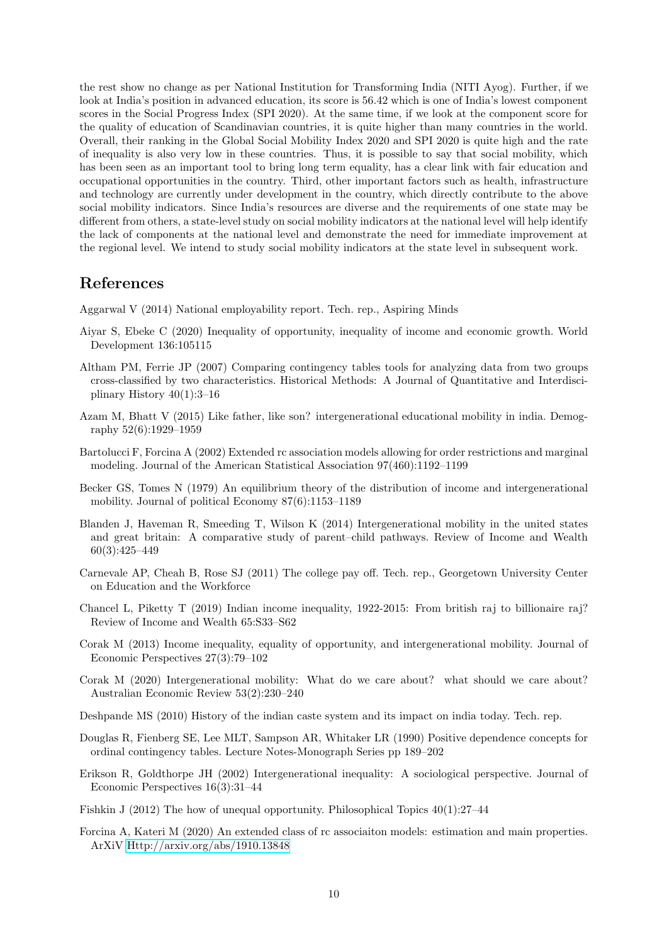the rest show no change as per National Institution for Transforming India (NITI Ayog). Further, if we look at India's position in advanced education, its score is 56.42 which is one of India's lowest component scores in the Social Progress Index (SPI 2020). At the same time, if we look at the component score for the quality of education of Scandinavian countries, it is quite higher than many countries in the world. Overall, their ranking in the Global Social Mobility Index 2020 and SPI 2020 is quite high and the rate of inequality is also very low in these countries. Thus, it is possible to say that social mobility, which has been seen as an important tool to bring long term equality, has a clear link with fair education and occupational opportunities in the country. Third, other important factors such as health, infrastructure and technology are currently under development in the country, which directly contribute to the above social mobility indicators. Since India's resources are diverse and the requirements of one state may be different from others, a state-level study on social mobility indicators at the national level will help identify the lack of components at the national level and demonstrate the need for immediate improvement at the regional level. We intend to study social mobility indicators at the state level in subsequent work.

### References

<span id="page-9-14"></span>Aggarwal V (2014) National employability report. Tech. rep., Aspiring Minds

- <span id="page-9-4"></span>Aiyar S, Ebeke C (2020) Inequality of opportunity, inequality of income and economic growth. World Development 136:105115
- <span id="page-9-10"></span>Altham PM, Ferrie JP (2007) Comparing contingency tables tools for analyzing data from two groups cross-classified by two characteristics. Historical Methods: A Journal of Quantitative and Interdisciplinary History 40(1):3–16
- <span id="page-9-8"></span>Azam M, Bhatt V (2015) Like father, like son? intergenerational educational mobility in india. Demography 52(6):1929–1959
- <span id="page-9-12"></span>Bartolucci F, Forcina A (2002) Extended rc association models allowing for order restrictions and marginal modeling. Journal of the American Statistical Association 97(460):1192–1199
- <span id="page-9-6"></span>Becker GS, Tomes N (1979) An equilibrium theory of the distribution of income and intergenerational mobility. Journal of political Economy 87(6):1153–1189
- <span id="page-9-15"></span>Blanden J, Haveman R, Smeeding T, Wilson K (2014) Intergenerational mobility in the united states and great britain: A comparative study of parent–child pathways. Review of Income and Wealth 60(3):425–449
- <span id="page-9-9"></span>Carnevale AP, Cheah B, Rose SJ (2011) The college pay off. Tech. rep., Georgetown University Center on Education and the Workforce
- <span id="page-9-3"></span>Chancel L, Piketty T (2019) Indian income inequality, 1922-2015: From british raj to billionaire raj? Review of Income and Wealth 65:S33–S62
- <span id="page-9-1"></span>Corak M (2013) Income inequality, equality of opportunity, and intergenerational mobility. Journal of Economic Perspectives 27(3):79–102
- <span id="page-9-0"></span>Corak M (2020) Intergenerational mobility: What do we care about? what should we care about? Australian Economic Review 53(2):230–240
- <span id="page-9-2"></span>Deshpande MS (2010) History of the indian caste system and its impact on india today. Tech. rep.
- <span id="page-9-11"></span>Douglas R, Fienberg SE, Lee MLT, Sampson AR, Whitaker LR (1990) Positive dependence concepts for ordinal contingency tables. Lecture Notes-Monograph Series pp 189–202
- <span id="page-9-5"></span>Erikson R, Goldthorpe JH (2002) Intergenerational inequality: A sociological perspective. Journal of Economic Perspectives 16(3):31–44
- <span id="page-9-7"></span>Fishkin J (2012) The how of unequal opportunity. Philosophical Topics 40(1):27–44
- <span id="page-9-13"></span>Forcina A, Kateri M (2020) An extended class of rc associaiton models: estimation and main properties. ArXiV<Http://arxiv.org/abs/1910.13848>